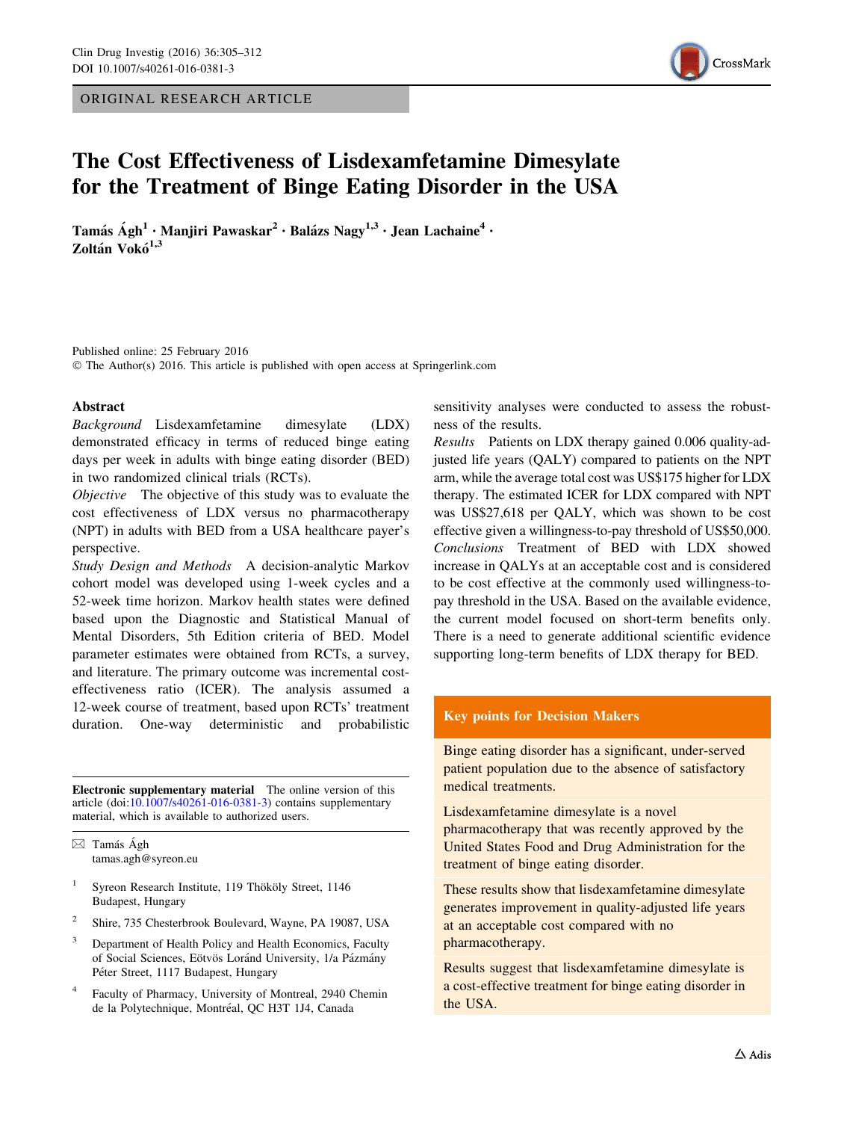ORIGINAL RESEARCH ARTICLE



# The Cost Effectiveness of Lisdexamfetamine Dimesylate for the Treatment of Binge Eating Disorder in the USA

Tamás Ágh<sup>1</sup> • Manjiri Pawaskar<sup>2</sup> • Balázs Nagy<sup>1,3</sup> • Jean Lachaine<sup>4</sup> •  $Z$ oltán Vokó $^{1,3}$ 

Published online: 25 February 2016 © The Author(s) 2016. This article is published with open access at Springerlink.com

#### Abstract

Background Lisdexamfetamine dimesylate (LDX) demonstrated efficacy in terms of reduced binge eating days per week in adults with binge eating disorder (BED) in two randomized clinical trials (RCTs).

Objective The objective of this study was to evaluate the cost effectiveness of LDX versus no pharmacotherapy (NPT) in adults with BED from a USA healthcare payer's perspective.

Study Design and Methods A decision-analytic Markov cohort model was developed using 1-week cycles and a 52-week time horizon. Markov health states were defined based upon the Diagnostic and Statistical Manual of Mental Disorders, 5th Edition criteria of BED. Model parameter estimates were obtained from RCTs, a survey, and literature. The primary outcome was incremental costeffectiveness ratio (ICER). The analysis assumed a 12-week course of treatment, based upon RCTs' treatment duration. One-way deterministic and probabilistic

Electronic supplementary material The online version of this article (doi:[10.1007/s40261-016-0381-3\)](http://dx.doi.org/10.1007/s40261-016-0381-3) contains supplementary material, which is available to authorized users.

 $\boxtimes$  Tamás Ágh tamas.agh@syreon.eu

- <sup>1</sup> Syreon Research Institute, 119 Thököly Street, 1146 Budapest, Hungary
- <sup>2</sup> Shire, 735 Chesterbrook Boulevard, Wayne, PA 19087, USA
- <sup>3</sup> Department of Health Policy and Health Economics, Faculty of Social Sciences, Eötvös Loránd University, 1/a Pázmány Péter Street, 1117 Budapest, Hungary
- Faculty of Pharmacy, University of Montreal, 2940 Chemin de la Polytechnique, Montréal, QC H3T 1J4, Canada

sensitivity analyses were conducted to assess the robustness of the results.

Results Patients on LDX therapy gained 0.006 quality-adjusted life years (QALY) compared to patients on the NPT arm, while the average total cost was US\$175 higher for LDX therapy. The estimated ICER for LDX compared with NPT was US\$27,618 per QALY, which was shown to be cost effective given a willingness-to-pay threshold of US\$50,000. Conclusions Treatment of BED with LDX showed increase in QALYs at an acceptable cost and is considered to be cost effective at the commonly used willingness-topay threshold in the USA. Based on the available evidence, the current model focused on short-term benefits only. There is a need to generate additional scientific evidence supporting long-term benefits of LDX therapy for BED.

## Key points for Decision Makers

Binge eating disorder has a significant, under-served patient population due to the absence of satisfactory medical treatments.

Lisdexamfetamine dimesylate is a novel pharmacotherapy that was recently approved by the United States Food and Drug Administration for the treatment of binge eating disorder.

These results show that lisdexamfetamine dimesylate generates improvement in quality-adjusted life years at an acceptable cost compared with no pharmacotherapy.

Results suggest that lisdexamfetamine dimesylate is a cost-effective treatment for binge eating disorder in the USA.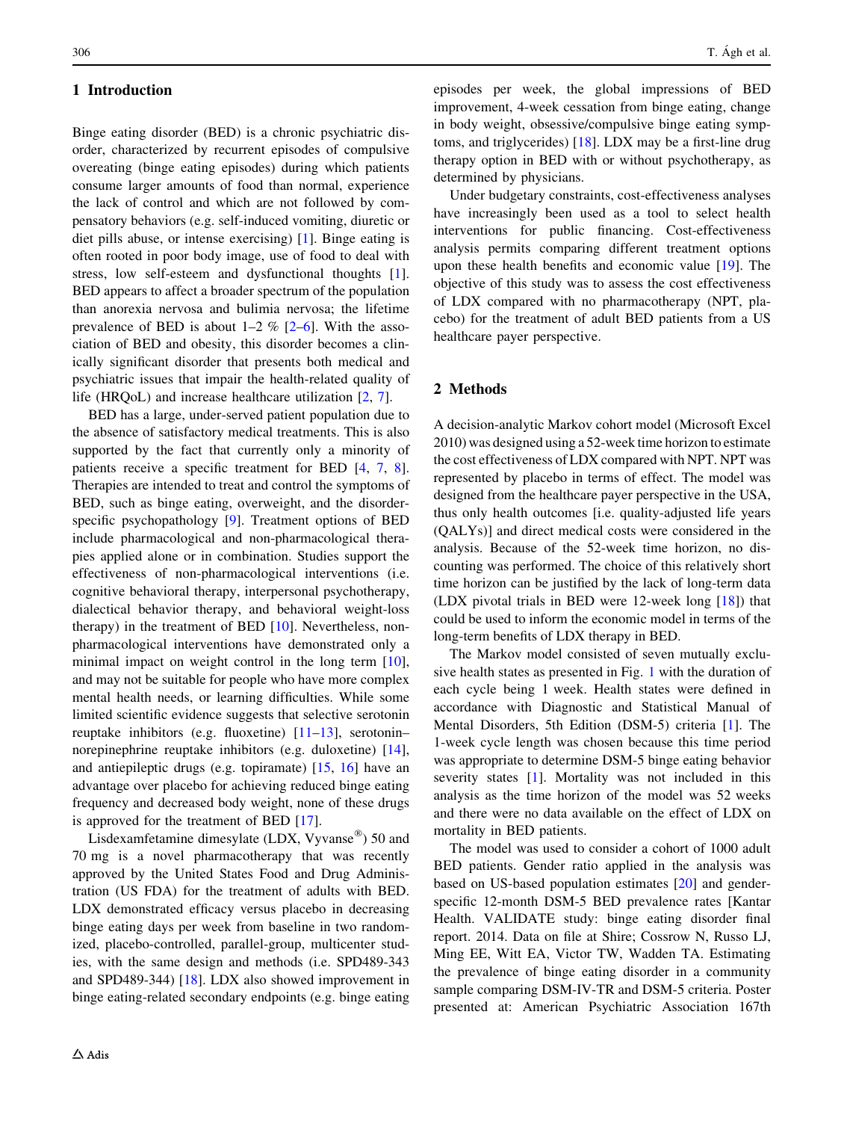## 1 Introduction

Binge eating disorder (BED) is a chronic psychiatric disorder, characterized by recurrent episodes of compulsive overeating (binge eating episodes) during which patients consume larger amounts of food than normal, experience the lack of control and which are not followed by compensatory behaviors (e.g. self-induced vomiting, diuretic or diet pills abuse, or intense exercising) [\[1](#page-6-0)]. Binge eating is often rooted in poor body image, use of food to deal with stress, low self-esteem and dysfunctional thoughts [\[1](#page-6-0)]. BED appears to affect a broader spectrum of the population than anorexia nervosa and bulimia nervosa; the lifetime prevalence of BED is about  $1-2\%$  [\[2](#page-6-0)[–6](#page-7-0)]. With the association of BED and obesity, this disorder becomes a clinically significant disorder that presents both medical and psychiatric issues that impair the health-related quality of life (HRQoL) and increase healthcare utilization [[2,](#page-6-0) [7\]](#page-7-0).

BED has a large, under-served patient population due to the absence of satisfactory medical treatments. This is also supported by the fact that currently only a minority of patients receive a specific treatment for BED [[4,](#page-6-0) [7,](#page-7-0) [8](#page-7-0)]. Therapies are intended to treat and control the symptoms of BED, such as binge eating, overweight, and the disorderspecific psychopathology [[9\]](#page-7-0). Treatment options of BED include pharmacological and non-pharmacological therapies applied alone or in combination. Studies support the effectiveness of non-pharmacological interventions (i.e. cognitive behavioral therapy, interpersonal psychotherapy, dialectical behavior therapy, and behavioral weight-loss therapy) in the treatment of BED [\[10](#page-7-0)]. Nevertheless, nonpharmacological interventions have demonstrated only a minimal impact on weight control in the long term [\[10](#page-7-0)], and may not be suitable for people who have more complex mental health needs, or learning difficulties. While some limited scientific evidence suggests that selective serotonin reuptake inhibitors (e.g. fluoxetine) [[11–13\]](#page-7-0), serotonin– norepinephrine reuptake inhibitors (e.g. duloxetine) [\[14](#page-7-0)], and antiepileptic drugs (e.g. topiramate) [[15,](#page-7-0) [16\]](#page-7-0) have an advantage over placebo for achieving reduced binge eating frequency and decreased body weight, none of these drugs is approved for the treatment of BED [[17\]](#page-7-0).

Lisdexamfetamine dimesylate  $(LDX, Vyvanse^{\circledast})$  50 and 70 mg is a novel pharmacotherapy that was recently approved by the United States Food and Drug Administration (US FDA) for the treatment of adults with BED. LDX demonstrated efficacy versus placebo in decreasing binge eating days per week from baseline in two randomized, placebo-controlled, parallel-group, multicenter studies, with the same design and methods (i.e. SPD489-343 and SPD489-344) [[18\]](#page-7-0). LDX also showed improvement in binge eating-related secondary endpoints (e.g. binge eating

episodes per week, the global impressions of BED improvement, 4-week cessation from binge eating, change in body weight, obsessive/compulsive binge eating symptoms, and triglycerides) [[18\]](#page-7-0). LDX may be a first-line drug therapy option in BED with or without psychotherapy, as determined by physicians.

Under budgetary constraints, cost-effectiveness analyses have increasingly been used as a tool to select health interventions for public financing. Cost-effectiveness analysis permits comparing different treatment options upon these health benefits and economic value [[19\]](#page-7-0). The objective of this study was to assess the cost effectiveness of LDX compared with no pharmacotherapy (NPT, placebo) for the treatment of adult BED patients from a US healthcare payer perspective.

# 2 Methods

A decision-analytic Markov cohort model (Microsoft Excel 2010) was designed using a 52-week time horizon to estimate the cost effectiveness of LDX compared with NPT. NPT was represented by placebo in terms of effect. The model was designed from the healthcare payer perspective in the USA, thus only health outcomes [i.e. quality-adjusted life years (QALYs)] and direct medical costs were considered in the analysis. Because of the 52-week time horizon, no discounting was performed. The choice of this relatively short time horizon can be justified by the lack of long-term data (LDX pivotal trials in BED were 12-week long [[18\]](#page-7-0)) that could be used to inform the economic model in terms of the long-term benefits of LDX therapy in BED.

The Markov model consisted of seven mutually exclusive health states as presented in Fig. [1](#page-2-0) with the duration of each cycle being 1 week. Health states were defined in accordance with Diagnostic and Statistical Manual of Mental Disorders, 5th Edition (DSM-5) criteria [\[1](#page-6-0)]. The 1-week cycle length was chosen because this time period was appropriate to determine DSM-5 binge eating behavior severity states [\[1](#page-6-0)]. Mortality was not included in this analysis as the time horizon of the model was 52 weeks and there were no data available on the effect of LDX on mortality in BED patients.

The model was used to consider a cohort of 1000 adult BED patients. Gender ratio applied in the analysis was based on US-based population estimates [[20\]](#page-7-0) and genderspecific 12-month DSM-5 BED prevalence rates [Kantar Health. VALIDATE study: binge eating disorder final report. 2014. Data on file at Shire; Cossrow N, Russo LJ, Ming EE, Witt EA, Victor TW, Wadden TA. Estimating the prevalence of binge eating disorder in a community sample comparing DSM-IV-TR and DSM-5 criteria. Poster presented at: American Psychiatric Association 167th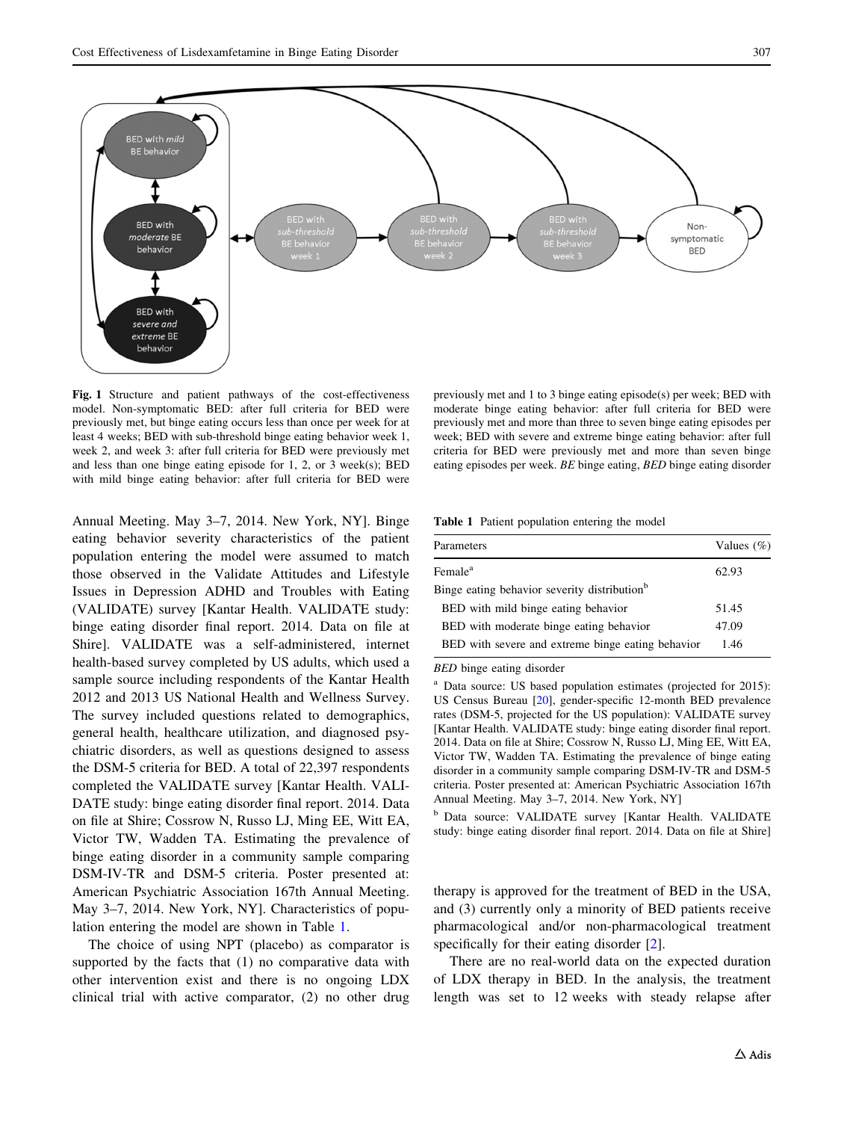<span id="page-2-0"></span>

Fig. 1 Structure and patient pathways of the cost-effectiveness model. Non-symptomatic BED: after full criteria for BED were previously met, but binge eating occurs less than once per week for at least 4 weeks; BED with sub-threshold binge eating behavior week 1, week 2, and week 3: after full criteria for BED were previously met and less than one binge eating episode for 1, 2, or 3 week(s); BED with mild binge eating behavior: after full criteria for BED were

Annual Meeting. May 3–7, 2014. New York, NY]. Binge eating behavior severity characteristics of the patient population entering the model were assumed to match those observed in the Validate Attitudes and Lifestyle Issues in Depression ADHD and Troubles with Eating (VALIDATE) survey [Kantar Health. VALIDATE study: binge eating disorder final report. 2014. Data on file at Shire]. VALIDATE was a self-administered, internet health-based survey completed by US adults, which used a sample source including respondents of the Kantar Health 2012 and 2013 US National Health and Wellness Survey. The survey included questions related to demographics, general health, healthcare utilization, and diagnosed psychiatric disorders, as well as questions designed to assess the DSM-5 criteria for BED. A total of 22,397 respondents completed the VALIDATE survey [Kantar Health. VALI-DATE study: binge eating disorder final report. 2014. Data on file at Shire; Cossrow N, Russo LJ, Ming EE, Witt EA, Victor TW, Wadden TA. Estimating the prevalence of binge eating disorder in a community sample comparing DSM-IV-TR and DSM-5 criteria. Poster presented at: American Psychiatric Association 167th Annual Meeting. May 3–7, 2014. New York, NY]. Characteristics of population entering the model are shown in Table 1.

The choice of using NPT (placebo) as comparator is supported by the facts that  $(1)$  no comparative data with other intervention exist and there is no ongoing LDX clinical trial with active comparator, (2) no other drug previously met and 1 to 3 binge eating episode(s) per week; BED with moderate binge eating behavior: after full criteria for BED were previously met and more than three to seven binge eating episodes per week; BED with severe and extreme binge eating behavior: after full criteria for BED were previously met and more than seven binge eating episodes per week. BE binge eating, BED binge eating disorder

Table 1 Patient population entering the model

| Parameters                                               | Values $(\%)$ |
|----------------------------------------------------------|---------------|
| Female <sup>a</sup>                                      | 62.93         |
| Binge eating behavior severity distribution <sup>b</sup> |               |
| BED with mild binge eating behavior                      | 51.45         |
| BED with moderate binge eating behavior                  | 47.09         |
| BED with severe and extreme binge eating behavior        | 1.46          |
|                                                          |               |

BED binge eating disorder

<sup>a</sup> Data source: US based population estimates (projected for 2015): US Census Bureau [[20](#page-7-0)], gender-specific 12-month BED prevalence rates (DSM-5, projected for the US population): VALIDATE survey [Kantar Health. VALIDATE study: binge eating disorder final report. 2014. Data on file at Shire; Cossrow N, Russo LJ, Ming EE, Witt EA, Victor TW, Wadden TA. Estimating the prevalence of binge eating disorder in a community sample comparing DSM-IV-TR and DSM-5 criteria. Poster presented at: American Psychiatric Association 167th Annual Meeting. May 3–7, 2014. New York, NY]

<sup>b</sup> Data source: VALIDATE survey [Kantar Health. VALIDATE study: binge eating disorder final report. 2014. Data on file at Shire]

therapy is approved for the treatment of BED in the USA, and (3) currently only a minority of BED patients receive pharmacological and/or non-pharmacological treatment specifically for their eating disorder [\[2](#page-6-0)].

There are no real-world data on the expected duration of LDX therapy in BED. In the analysis, the treatment length was set to 12 weeks with steady relapse after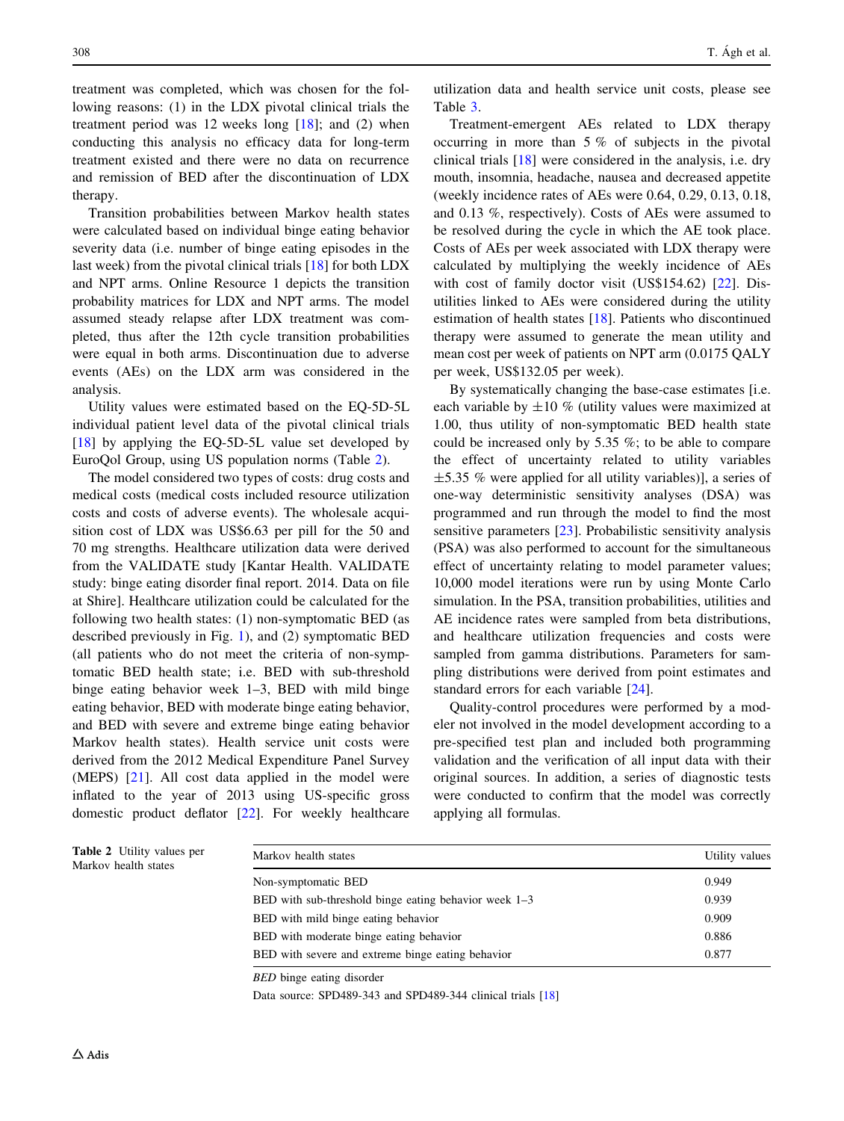treatment was completed, which was chosen for the following reasons: (1) in the LDX pivotal clinical trials the treatment period was 12 weeks long  $[18]$  $[18]$ ; and  $(2)$  when conducting this analysis no efficacy data for long-term treatment existed and there were no data on recurrence and remission of BED after the discontinuation of LDX therapy.

Transition probabilities between Markov health states were calculated based on individual binge eating behavior severity data (i.e. number of binge eating episodes in the last week) from the pivotal clinical trials [[18\]](#page-7-0) for both LDX and NPT arms. Online Resource 1 depicts the transition probability matrices for LDX and NPT arms. The model assumed steady relapse after LDX treatment was completed, thus after the 12th cycle transition probabilities were equal in both arms. Discontinuation due to adverse events (AEs) on the LDX arm was considered in the analysis.

Utility values were estimated based on the EQ-5D-5L individual patient level data of the pivotal clinical trials [\[18](#page-7-0)] by applying the EQ-5D-5L value set developed by EuroQol Group, using US population norms (Table 2).

The model considered two types of costs: drug costs and medical costs (medical costs included resource utilization costs and costs of adverse events). The wholesale acquisition cost of LDX was US\$6.63 per pill for the 50 and 70 mg strengths. Healthcare utilization data were derived from the VALIDATE study [Kantar Health. VALIDATE study: binge eating disorder final report. 2014. Data on file at Shire]. Healthcare utilization could be calculated for the following two health states: (1) non-symptomatic BED (as described previously in Fig. [1\)](#page-2-0), and (2) symptomatic BED (all patients who do not meet the criteria of non-symptomatic BED health state; i.e. BED with sub-threshold binge eating behavior week 1–3, BED with mild binge eating behavior, BED with moderate binge eating behavior, and BED with severe and extreme binge eating behavior Markov health states). Health service unit costs were derived from the 2012 Medical Expenditure Panel Survey (MEPS) [\[21](#page-7-0)]. All cost data applied in the model were inflated to the year of 2013 using US-specific gross domestic product deflator [\[22](#page-7-0)]. For weekly healthcare utilization data and health service unit costs, please see Table [3](#page-4-0).

Treatment-emergent AEs related to LDX therapy occurring in more than 5 % of subjects in the pivotal clinical trials [\[18\]](#page-7-0) were considered in the analysis, i.e. dry mouth, insomnia, headache, nausea and decreased appetite (weekly incidence rates of AEs were 0.64, 0.29, 0.13, 0.18, and 0.13 %, respectively). Costs of AEs were assumed to be resolved during the cycle in which the AE took place. Costs of AEs per week associated with LDX therapy were calculated by multiplying the weekly incidence of AEs with cost of family doctor visit (US\$154.62) [\[22](#page-7-0)]. Disutilities linked to AEs were considered during the utility estimation of health states [[18\]](#page-7-0). Patients who discontinued therapy were assumed to generate the mean utility and mean cost per week of patients on NPT arm (0.0175 QALY per week, US\$132.05 per week).

By systematically changing the base-case estimates [i.e. each variable by  $\pm 10$  % (utility values were maximized at 1.00, thus utility of non-symptomatic BED health state could be increased only by 5.35 %; to be able to compare the effect of uncertainty related to utility variables  $\pm$ 5.35 % were applied for all utility variables), a series of one-way deterministic sensitivity analyses (DSA) was programmed and run through the model to find the most sensitive parameters [[23\]](#page-7-0). Probabilistic sensitivity analysis (PSA) was also performed to account for the simultaneous effect of uncertainty relating to model parameter values; 10,000 model iterations were run by using Monte Carlo simulation. In the PSA, transition probabilities, utilities and AE incidence rates were sampled from beta distributions, and healthcare utilization frequencies and costs were sampled from gamma distributions. Parameters for sampling distributions were derived from point estimates and standard errors for each variable [[24\]](#page-7-0).

Quality-control procedures were performed by a modeler not involved in the model development according to a pre-specified test plan and included both programming validation and the verification of all input data with their original sources. In addition, a series of diagnostic tests were conducted to confirm that the model was correctly applying all formulas.

| <b>Table 2</b> Utility values per<br>Markov health states | Markov health states                                    | Utility values |
|-----------------------------------------------------------|---------------------------------------------------------|----------------|
|                                                           | Non-symptomatic BED                                     | 0.949          |
|                                                           | BED with sub-threshold binge eating behavior week $1-3$ | 0.939          |
|                                                           | BED with mild binge eating behavior                     | 0.909          |
|                                                           | BED with moderate binge eating behavior                 | 0.886          |
|                                                           | BED with severe and extreme binge eating behavior       | 0.877          |

BED binge eating disorder

Data source: SPD489-343 and SPD489-344 clinical trials [[18\]](#page-7-0)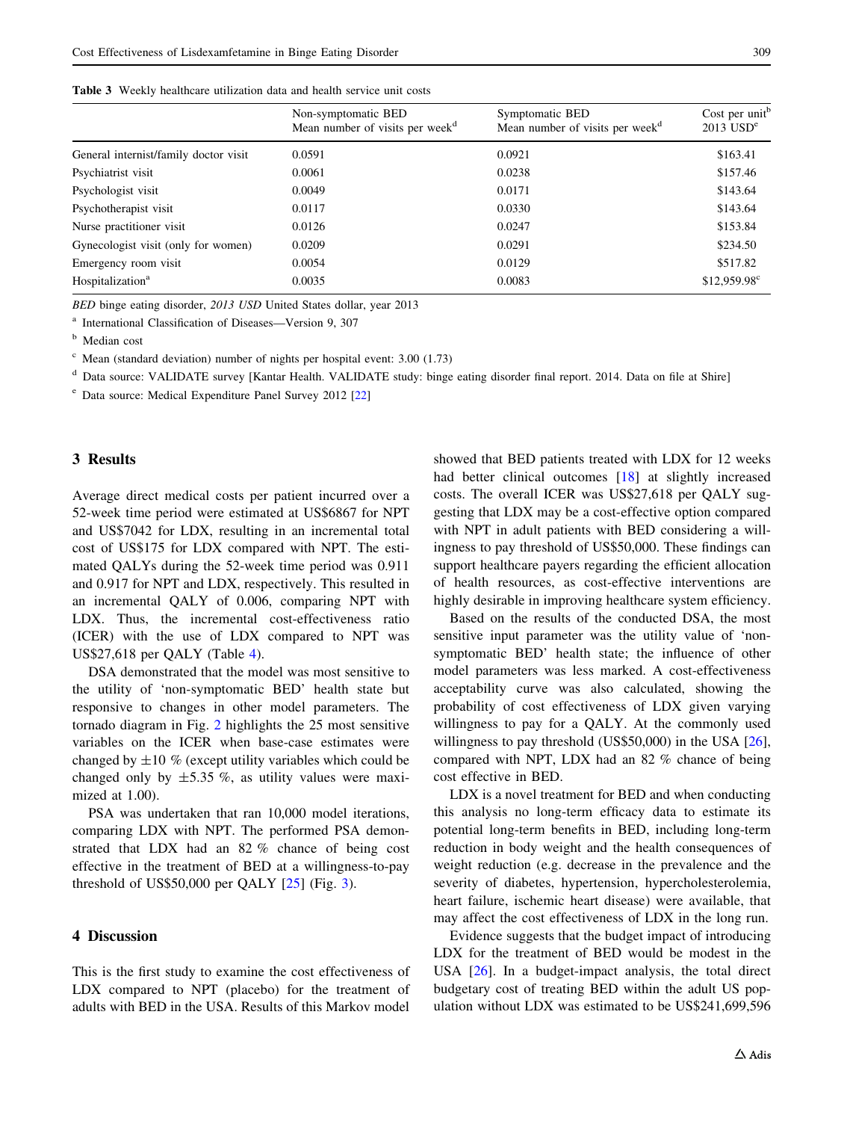<span id="page-4-0"></span>

|  |  | <b>Table 3</b> Weekly healthcare utilization data and health service unit costs |  |  |  |  |  |  |  |
|--|--|---------------------------------------------------------------------------------|--|--|--|--|--|--|--|
|--|--|---------------------------------------------------------------------------------|--|--|--|--|--|--|--|

|                                       | Non-symptomatic BED<br>Mean number of visits per week <sup>d</sup> | Symptomatic BED<br>Mean number of visits per week <sup>d</sup> | Cost per unit <sup>b</sup><br>$2013$ USD <sup>e</sup> |
|---------------------------------------|--------------------------------------------------------------------|----------------------------------------------------------------|-------------------------------------------------------|
| General internist/family doctor visit | 0.0591                                                             | 0.0921                                                         | \$163.41                                              |
| Psychiatrist visit                    | 0.0061                                                             | 0.0238                                                         | \$157.46                                              |
| Psychologist visit                    | 0.0049                                                             | 0.0171                                                         | \$143.64                                              |
| Psychotherapist visit                 | 0.0117                                                             | 0.0330                                                         | \$143.64                                              |
| Nurse practitioner visit              | 0.0126                                                             | 0.0247                                                         | \$153.84                                              |
| Gynecologist visit (only for women)   | 0.0209                                                             | 0.0291                                                         | \$234.50                                              |
| Emergency room visit                  | 0.0054                                                             | 0.0129                                                         | \$517.82                                              |
| Hospitalization <sup>a</sup>          | 0.0035                                                             | 0.0083                                                         | $$12,959.98^{\circ}$                                  |

BED binge eating disorder, 2013 USD United States dollar, year 2013

<sup>a</sup> International Classification of Diseases—Version 9, 307

<sup>b</sup> Median cost

 $\degree$  Mean (standard deviation) number of nights per hospital event: 3.00 (1.73)

<sup>d</sup> Data source: VALIDATE survey [Kantar Health. VALIDATE study: binge eating disorder final report. 2014. Data on file at Shire]

<sup>e</sup> Data source: Medical Expenditure Panel Survey 2012 [[22\]](#page-7-0)

## 3 Results

Average direct medical costs per patient incurred over a 52-week time period were estimated at US\$6867 for NPT and US\$7042 for LDX, resulting in an incremental total cost of US\$175 for LDX compared with NPT. The estimated QALYs during the 52-week time period was 0.911 and 0.917 for NPT and LDX, respectively. This resulted in an incremental QALY of 0.006, comparing NPT with LDX. Thus, the incremental cost-effectiveness ratio (ICER) with the use of LDX compared to NPT was US\$27,618 per QALY (Table [4](#page-5-0)).

DSA demonstrated that the model was most sensitive to the utility of 'non-symptomatic BED' health state but responsive to changes in other model parameters. The tornado diagram in Fig. [2](#page-5-0) highlights the 25 most sensitive variables on the ICER when base-case estimates were changed by  $\pm 10$  % (except utility variables which could be changed only by  $\pm$ 5.35 %, as utility values were maximized at 1.00).

PSA was undertaken that ran 10,000 model iterations, comparing LDX with NPT. The performed PSA demonstrated that LDX had an 82 % chance of being cost effective in the treatment of BED at a willingness-to-pay threshold of US\$50,000 per QALY  $[25]$  $[25]$  (Fig. [3](#page-6-0)).

## 4 Discussion

This is the first study to examine the cost effectiveness of LDX compared to NPT (placebo) for the treatment of adults with BED in the USA. Results of this Markov model showed that BED patients treated with LDX for 12 weeks had better clinical outcomes [\[18](#page-7-0)] at slightly increased costs. The overall ICER was US\$27,618 per QALY suggesting that LDX may be a cost-effective option compared with NPT in adult patients with BED considering a willingness to pay threshold of US\$50,000. These findings can support healthcare payers regarding the efficient allocation of health resources, as cost-effective interventions are highly desirable in improving healthcare system efficiency.

Based on the results of the conducted DSA, the most sensitive input parameter was the utility value of 'nonsymptomatic BED' health state; the influence of other model parameters was less marked. A cost-effectiveness acceptability curve was also calculated, showing the probability of cost effectiveness of LDX given varying willingness to pay for a QALY. At the commonly used willingness to pay threshold (US\$50,000) in the USA [\[26](#page-7-0)], compared with NPT, LDX had an 82 % chance of being cost effective in BED.

LDX is a novel treatment for BED and when conducting this analysis no long-term efficacy data to estimate its potential long-term benefits in BED, including long-term reduction in body weight and the health consequences of weight reduction (e.g. decrease in the prevalence and the severity of diabetes, hypertension, hypercholesterolemia, heart failure, ischemic heart disease) were available, that may affect the cost effectiveness of LDX in the long run.

Evidence suggests that the budget impact of introducing LDX for the treatment of BED would be modest in the USA [\[26](#page-7-0)]. In a budget-impact analysis, the total direct budgetary cost of treating BED within the adult US population without LDX was estimated to be US\$241,699,596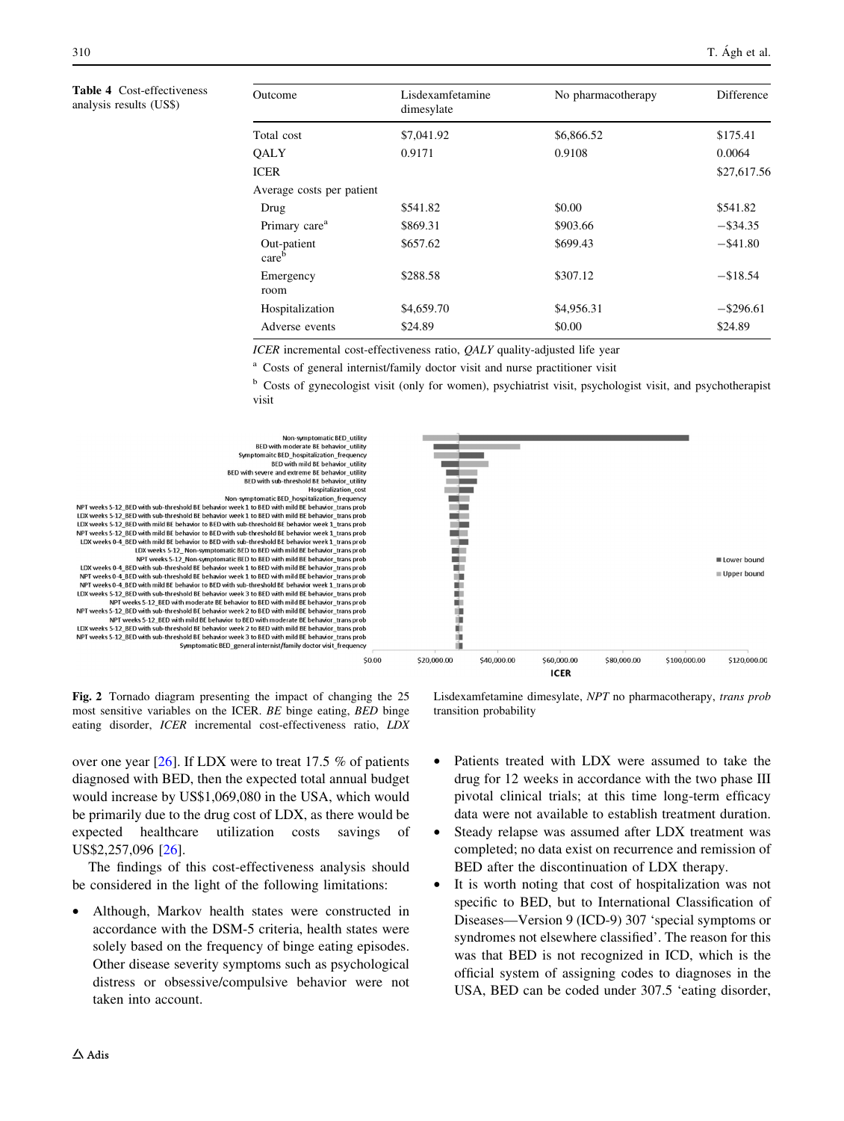<span id="page-5-0"></span>Table 4 Cost-effectiveness analysis results (US\$)

| Outcome                          | Lisdexamfetamine<br>dimesylate | No pharmacotherapy | Difference   |  |
|----------------------------------|--------------------------------|--------------------|--------------|--|
| Total cost                       | \$7,041.92                     | \$6,866.52         | \$175.41     |  |
| QALY                             | 0.9171                         | 0.9108             | 0.0064       |  |
| ICER                             |                                |                    | \$27,617.56  |  |
| Average costs per patient        |                                |                    |              |  |
| Drug                             | \$541.82                       | \$0.00             | \$541.82     |  |
| Primary care <sup>a</sup>        | \$869.31                       | \$903.66           | $-$ \$34.35  |  |
| Out-patient<br>care <sup>b</sup> | \$657.62                       | \$699.43           | $-$ \$41.80  |  |
| Emergency<br>room                | \$288.58                       | \$307.12           | $-$ \$18.54  |  |
| Hospitalization                  | \$4,659.70                     | \$4,956.31         | $-$ \$296.61 |  |
| Adverse events                   | \$24.89                        | \$0.00             | \$24.89      |  |
|                                  |                                |                    |              |  |

ICER incremental cost-effectiveness ratio, QALY quality-adjusted life year

<sup>a</sup> Costs of general internist/family doctor visit and nurse practitioner visit

<sup>b</sup> Costs of gynecologist visit (only for women), psychiatrist visit, psychologist visit, and psychotherapist visit



Fig. 2 Tornado diagram presenting the impact of changing the 25 most sensitive variables on the ICER. BE binge eating, BED binge eating disorder, ICER incremental cost-effectiveness ratio, LDX

over one year [[26\]](#page-7-0). If LDX were to treat 17.5 % of patients diagnosed with BED, then the expected total annual budget would increase by US\$1,069,080 in the USA, which would be primarily due to the drug cost of LDX, as there would be expected healthcare utilization costs savings of US\$2,257,096 [\[26](#page-7-0)].

The findings of this cost-effectiveness analysis should be considered in the light of the following limitations:

• Although, Markov health states were constructed in accordance with the DSM-5 criteria, health states were solely based on the frequency of binge eating episodes. Other disease severity symptoms such as psychological distress or obsessive/compulsive behavior were not taken into account.

Lisdexamfetamine dimesylate, NPT no pharmacotherapy, trans prob transition probability

- Patients treated with LDX were assumed to take the drug for 12 weeks in accordance with the two phase III pivotal clinical trials; at this time long-term efficacy data were not available to establish treatment duration.
- Steady relapse was assumed after LDX treatment was completed; no data exist on recurrence and remission of BED after the discontinuation of LDX therapy.
- It is worth noting that cost of hospitalization was not specific to BED, but to International Classification of Diseases—Version 9 (ICD-9) 307 'special symptoms or syndromes not elsewhere classified'. The reason for this was that BED is not recognized in ICD, which is the official system of assigning codes to diagnoses in the USA, BED can be coded under 307.5 'eating disorder,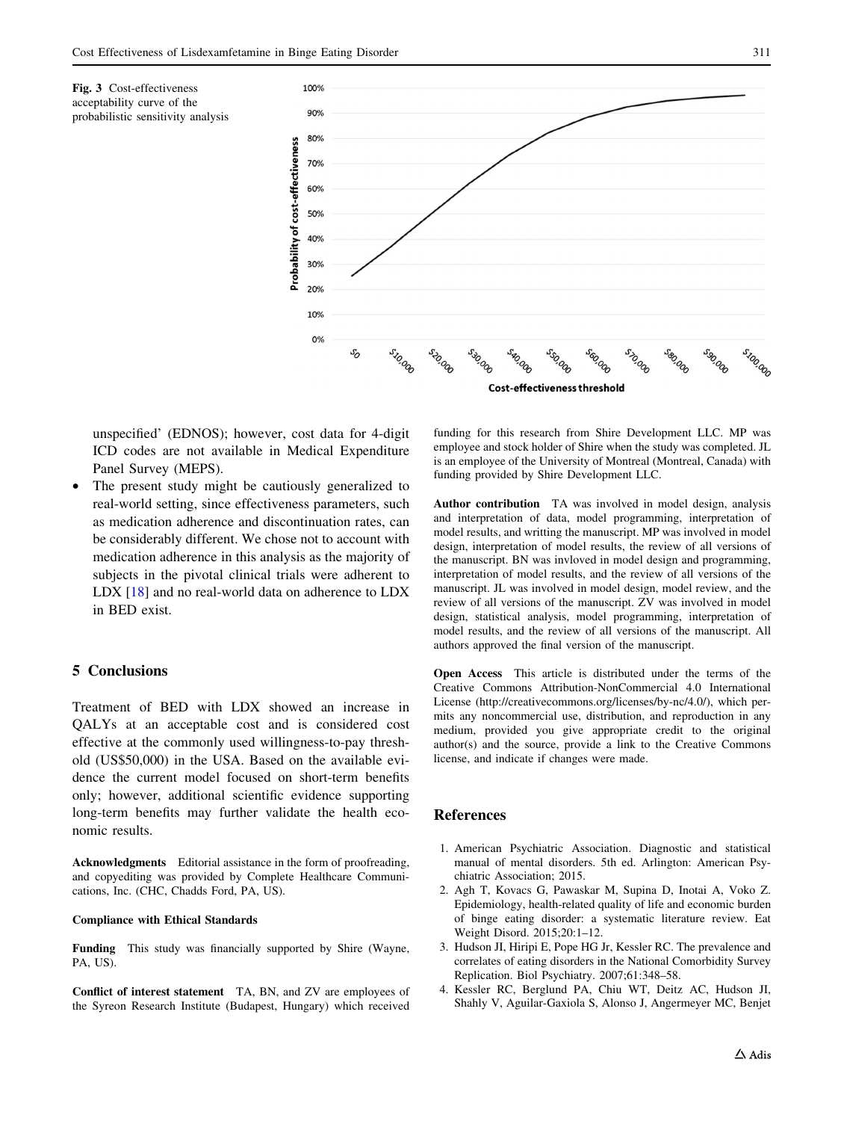<span id="page-6-0"></span>Fig. 3 Cost-effectiveness acceptability curve of the probabilistic sensitivity analysis



unspecified' (EDNOS); however, cost data for 4-digit ICD codes are not available in Medical Expenditure Panel Survey (MEPS).

The present study might be cautiously generalized to real-world setting, since effectiveness parameters, such as medication adherence and discontinuation rates, can be considerably different. We chose not to account with medication adherence in this analysis as the majority of subjects in the pivotal clinical trials were adherent to LDX [\[18](#page-7-0)] and no real-world data on adherence to LDX in BED exist.

## 5 Conclusions

Treatment of BED with LDX showed an increase in QALYs at an acceptable cost and is considered cost effective at the commonly used willingness-to-pay threshold (US\$50,000) in the USA. Based on the available evidence the current model focused on short-term benefits only; however, additional scientific evidence supporting long-term benefits may further validate the health economic results.

Acknowledgments Editorial assistance in the form of proofreading, and copyediting was provided by Complete Healthcare Communications, Inc. (CHC, Chadds Ford, PA, US).

#### Compliance with Ethical Standards

Funding This study was financially supported by Shire (Wayne, PA, US).

Conflict of interest statement TA, BN, and ZV are employees of the Syreon Research Institute (Budapest, Hungary) which received funding for this research from Shire Development LLC. MP was employee and stock holder of Shire when the study was completed. JL is an employee of the University of Montreal (Montreal, Canada) with funding provided by Shire Development LLC.

Author contribution TA was involved in model design, analysis and interpretation of data, model programming, interpretation of model results, and writting the manuscript. MP was involved in model design, interpretation of model results, the review of all versions of the manuscript. BN was invloved in model design and programming, interpretation of model results, and the review of all versions of the manuscript. JL was involved in model design, model review, and the review of all versions of the manuscript. ZV was involved in model design, statistical analysis, model programming, interpretation of model results, and the review of all versions of the manuscript. All authors approved the final version of the manuscript.

Open Access This article is distributed under the terms of the Creative Commons Attribution-NonCommercial 4.0 International License (http://creativecommons.org/licenses/by-nc/4.0/), which permits any noncommercial use, distribution, and reproduction in any medium, provided you give appropriate credit to the original author(s) and the source, provide a link to the Creative Commons license, and indicate if changes were made.

## References

- 1. American Psychiatric Association. Diagnostic and statistical manual of mental disorders. 5th ed. Arlington: American Psychiatric Association; 2015.
- 2. Agh T, Kovacs G, Pawaskar M, Supina D, Inotai A, Voko Z. Epidemiology, health-related quality of life and economic burden of binge eating disorder: a systematic literature review. Eat Weight Disord. 2015;20:1–12.
- 3. Hudson JI, Hiripi E, Pope HG Jr, Kessler RC. The prevalence and correlates of eating disorders in the National Comorbidity Survey Replication. Biol Psychiatry. 2007;61:348–58.
- 4. Kessler RC, Berglund PA, Chiu WT, Deitz AC, Hudson JI, Shahly V, Aguilar-Gaxiola S, Alonso J, Angermeyer MC, Benjet